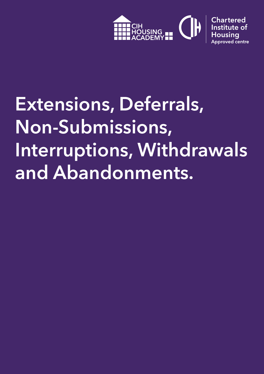

# **Extensions, Deferrals, Non-Submissions, Interruptions, Withdrawals and Abandonments.**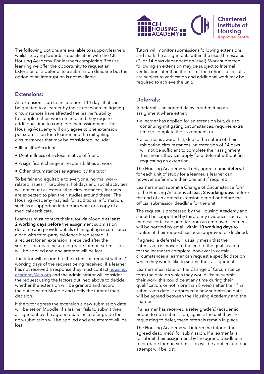

The following options are available to support learners whilst studying towards a qualification with the CIH Housing Academy. For learners completing Bitesize learning we offer the opportunity to request an Extension or a deferral to a submission deadline but the option of an interruption is not available.

#### **Extensions:**

An extension is up to an additional 14 days that can be granted to a learner by their tutor where mitigating circumstances have affected the learner's ability to complete their work on time and they require additional time to complete their assignment. The Housing Academy will only agree to one extension per submission for a learner and the mitigating circumstances that may be considered include:

- Ill health/Accident
- Death/illness of a close relative of friend
- A significant change in responsibilities at work
- Other circumstances as agreed by the tutor

To be fair and equitable to everyone, normal workrelated issues, IT problems, holidays and social activities will not count as extenuating circumstances; learners are expected to plan their studies around these. The Housing Academy may ask for additional information, such as a supporting letter from work or a copy of a medical certificate.

Learners must contact their tutor via Moodle **at least 2 working days before** the assignment submission deadline and provide details of mitigating circumstance along with third-party evidence if requested. If a request for an extension is received after the submission deadline a refer grade for non-submission will be applied and one attempt will be lost.

The tutor will respond to the extension request within 2 working days of the request being received, if a learner has not received a response they must contact [housing.](mailto:housing.academy@cih.org) [academy@cih.org](mailto:housing.academy@cih.org) and the administrator will consider the request using the factors outlined above to decide whether the extension will be granted and record the outcome on Moodle and notify the tutor of their decision.

If the tutor agrees the extension a new submission date will be set on Moodle, if a learner fails to submit their assignment by the agreed deadline a refer grade for non-submission will be applied and one attempt will be lost.

Tutors will monitor submissions following extensions and mark the assignments within the usual timescales (7- or 14-days dependent on level). Work submitted following an extension may be subject to Internal verification later than the rest of the cohort – all results are subject to verification and additional work may be required to achieve the unit.

# **Deferrals:**

A deferral is an agreed delay in submitting an assignment where either:

- a learner has applied for an extension but, due to continuing mitigating circumstances, requires extra time to complete the assignment; or
- a learner is aware that, due to the nature of their mitigating circumstances, an extension of 14 days will not be sufficient to complete their assignment. This means they can apply for a deferral without first requesting an extension.

The Housing Academy will only agree to **one deferral** for each unit of study for a learner, a learner can however defer more than one unit if required.

Learners must submit a Change of Circumstance form to the Housing Academy **at least 2 working days** before the end of an agreed extension period or before the official submission deadline for the unit.

The request is processed by the Housing Academy and should be supported by third party evidence, such as a medical certificate or letter from an employer. Learners will be notified by email within **10 working days** to confirm if their request has been approved or declined.

If agreed, a deferral will usually mean that the submission is moved to the end of the qualification for the learner to complete, however in certain circumstances a learner can request a specific date on which they would like to submit their assignment.

Learners must state on the Change of Circumstance form the date on which they would like to submit their work, this could be at any time during their qualification, or not more than 8 weeks after their final submission date. If approved a new submission date will be agreed between the Housing Academy and the Learner.

If a learner has received a refer grade(s) (academic or due to non-submission) against the unit they are requesting to defer, these referrals remain in place.

The Housing Academy will inform the tutor of the agreed deadline(s) for submission. If a learner fails to submit their assignment by the agreed deadline a refer grade for non-submission will be applied and one attempt will be lost.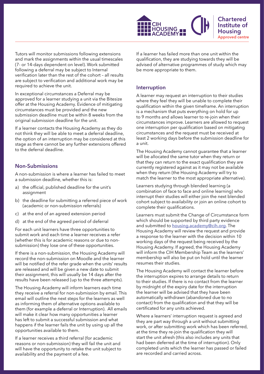

Tutors will monitor submissions following extensions and mark the assignments within the usual timescales (7- or 14-days dependent on level). Work submitted following a deferral may be subject to Internal verification later than the rest of the cohort – all results are subject to verification and additional work may be required to achieve the unit.

In exceptional circumstances a Deferral may be approved for a learner studying a unit via the Bitesize offer at the Housing Academy. Evidence of mitigating circumstances must be provided and the new submission deadline must be within 8 weeks from the original submission deadline for the unit.

If a learner contacts the Housing Academy as they do not think they will be able to meet a deferral deadline, the option of an interruption may be considered at this stage as there cannot be any further extensions offered to the deferral deadline.

#### **Non-Submissions**

A non-submission is where a learner has failed to meet a submission deadline, whether this is:

- a) the official, published deadline for the unit's assignment
- b) the deadline for submitting a referred piece of work (academic or non-submission referrals)
- c) at the end of an agreed extension period
- d) at the end of the agreed period of deferral

For each unit learners have three opportunities to submit work and each time a learner receives a refer (whether this is for academic reasons or due to nonsubmission) they lose one of these opportunities.

If there is a non-submission, the Housing Academy will record the non-submission on Moodle and the learner will be notified of the refer grade when the units' results are released and will be given a new date to submit their assignment, this will usually be 14 days after the results have been released (up to the three attempts).

The Housing Academy will inform learners each time they receive a referral for non-submission by email. This email will outline the next steps for the learners as well as informing them of alternative options available to them (for example a deferral or Interruption). All emails will make it clear how many opportunities a learner has left to submit a successful submission and what happens if the learner fails the unit by using up all the opportunities available to them.

If a learner receives a third referral (for academic reasons or non-submission) they will fail the unit and will have the opportunity to retake the unit subject to availability and the payment of a fee.

If a learner has failed more than one unit within the qualification, they are studying towards they will be advised of alternative programmes of study which may be more appropriate to them.

#### **Interruption**

A learner may request an interruption to their studies where they feel they will be unable to complete their qualification within the given timeframe. An interruption is a mechanism that puts everything on hold for up to 9 months and allows learner to re-join when their circumstances improve. Learners are allowed to request one interruption per qualification based on mitigating circumstances and the request must be received at least 2 working days before the submission deadline for a unit.

The Housing Academy cannot guarantee that a learner will be allocated the same tutor when they return or that they can return to the exact qualification they are currently registered against as it may not be available when they return (the Housing Academy will try to match the learner to the most appropriate alternative).

Learners studying through blended learning (a combination of face to face and online learning) who interrupt their studies will either join the next blended cohort subject to availability or join an online cohort to complete their qualifications.

Learners must submit the Change of Circumstance form which should be supported by third party evidence and submitted to **[housing.academy@cih.org](mailto:housing.academy@cih.org)**. The Housing Academy will review the request and provide a response to the learner with the decision within 10 working days of the request being received by the Housing Academy. If agreed, the Housing Academy will inform the CIH Membership Team as the learners' membership will also be put on hold until the learner resumes their studies.

The Housing Academy will contact the learner before the interruption expires to arrange details to return to their studies. If there is no contact from the learner by midnight of the expiry date for the interruption the learner will be advised that they have been automatically withdrawn (abandoned due to no contact) from the qualification and that they will be certificated for any units achieved.

Where a learners' interruption request is agreed and they are part way through a unit without submitting work, or after submitting work which has been referred, at the time they re-join the qualification they will start the unit afresh (this also includes any units that had been deferred at the time of interruption). Only completed units which the learner has passed or failed are recorded and carried across.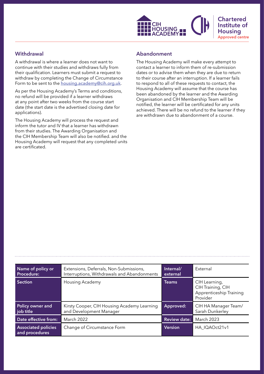

## **Withdrawal**

A withdrawal is where a learner does not want to continue with their studies and withdraws fully from their qualification. Learners must submit a request to withdraw by completing the Change of Circumstance Form to be sent to the [housing.academy@cih.org.uk](mailto:housing.academy@cih.org.uk).

As per the Housing Academy's Terms and conditions, no refund will be provided if a learner withdraws at any point after two weeks from the course start date (the start date is the advertised closing date for applications).

The Housing Academy will process the request and inform the tutor and IV that a learner has withdrawn from their studies. The Awarding Organisation and the CIH Membership Team will also be notified. and the Housing Academy will request that any completed units are certificated.

## **Abandonment**

The Housing Academy will make every attempt to contact a learner to inform them of re-submission dates or to advise them when they are due to return to their course after an interruption. If a learner fails to respond to all of these requests to contact, the Housing Academy will assume that the course has been abandoned by the learner and the Awarding Organisation and CIH Membership Team will be notified, the learner will be certificated for any units achieved. There will be no refund to the learner if they are withdrawn due to abandonment of a course.

| Name of policy or<br><b>Procedure:</b>       | Extensions, Deferrals, Non-Submissions,<br>Interruptions, Withdrawals and Abandonments | Internal/<br>external | External                                                                  |
|----------------------------------------------|----------------------------------------------------------------------------------------|-----------------------|---------------------------------------------------------------------------|
| <b>Section</b>                               | Housing Academy                                                                        | <b>Teams</b>          | CIH Learning,<br>CIH Training, CIH<br>Apprenticeship Training<br>Provider |
| <b>Policy owner and</b><br>job title         | Kirsty Cooper, CIH Housing Academy Learning<br>and Development Manager                 | Approved:             | CIH HA Manager Team/<br>Sarah Dunkerley                                   |
| Date effective from:                         | March 2022                                                                             | <b>Review date:</b>   | <b>March 2023</b>                                                         |
| <b>Associated policies</b><br>and procedures | Change of Circumstance Form                                                            | <b>Version</b>        | HA IQAOct21v1                                                             |